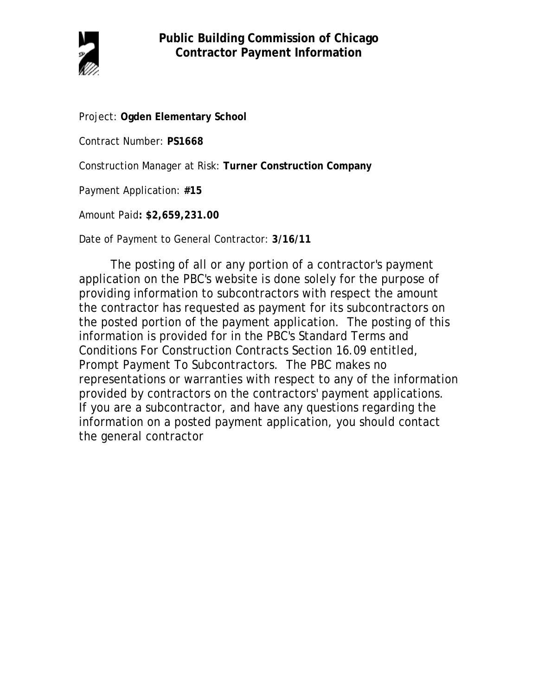

Project: **Ogden Elementary School**

Contract Number: **PS1668**

Construction Manager at Risk: **Turner Construction Company**

Payment Application: **#15**

Amount Paid**: \$2,659,231.00**

Date of Payment to General Contractor: **3/16/11**

The posting of all or any portion of a contractor's payment application on the PBC's website is done solely for the purpose of providing information to subcontractors with respect the amount the contractor has requested as payment for its subcontractors on the posted portion of the payment application. The posting of this information is provided for in the PBC's Standard Terms and Conditions For Construction Contracts Section 16.09 entitled, Prompt Payment To Subcontractors. The PBC makes no representations or warranties with respect to any of the information provided by contractors on the contractors' payment applications. If you are a subcontractor, and have any questions regarding the information on a posted payment application, you should contact the general contractor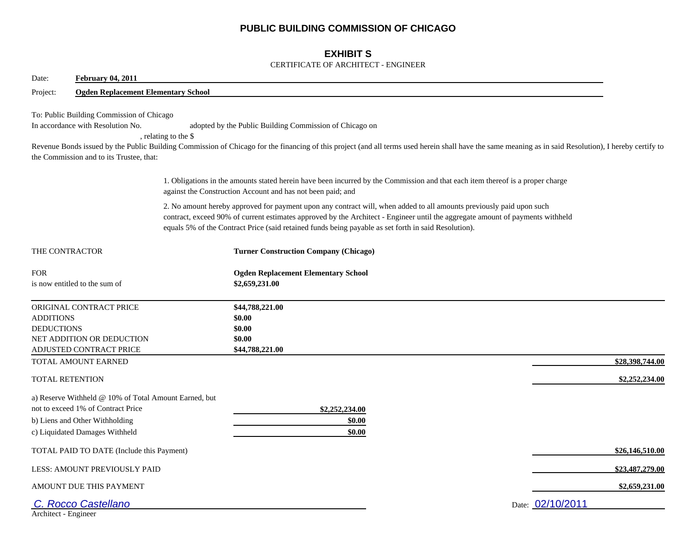# **PUBLIC BUILDING COMMISSION OF CHICAGO**

## **EXHIBIT S**

### CERTIFICATE OF ARCHITECT - ENGINEER

| <b>February 04, 2011</b><br>Date:                                                                                                                               |                                                                                                                                                                                                                                                                                                                                                                |  |
|-----------------------------------------------------------------------------------------------------------------------------------------------------------------|----------------------------------------------------------------------------------------------------------------------------------------------------------------------------------------------------------------------------------------------------------------------------------------------------------------------------------------------------------------|--|
| <b>Ogden Replacement Elementary School</b><br>Project:                                                                                                          |                                                                                                                                                                                                                                                                                                                                                                |  |
| To: Public Building Commission of Chicago<br>In accordance with Resolution No.<br>the Commission and to its Trustee, that:                                      | adopted by the Public Building Commission of Chicago on<br>, relating to the \$<br>Revenue Bonds issued by the Public Building Commission of Chicago for the financing of this project (and all terms used herein shall have the same meaning as in said Resolution), I hereby certify to                                                                      |  |
|                                                                                                                                                                 | 1. Obligations in the amounts stated herein have been incurred by the Commission and that each item thereof is a proper charge<br>against the Construction Account and has not been paid; and                                                                                                                                                                  |  |
|                                                                                                                                                                 | 2. No amount hereby approved for payment upon any contract will, when added to all amounts previously paid upon such<br>contract, exceed 90% of current estimates approved by the Architect - Engineer until the aggregate amount of payments withheld<br>equals 5% of the Contract Price (said retained funds being payable as set forth in said Resolution). |  |
| THE CONTRACTOR                                                                                                                                                  | <b>Turner Construction Company (Chicago)</b>                                                                                                                                                                                                                                                                                                                   |  |
| <b>FOR</b><br>is now entitled to the sum of                                                                                                                     | <b>Ogden Replacement Elementary School</b><br>\$2,659,231.00                                                                                                                                                                                                                                                                                                   |  |
| ORIGINAL CONTRACT PRICE<br><b>ADDITIONS</b><br><b>DEDUCTIONS</b><br>NET ADDITION OR DEDUCTION<br>ADJUSTED CONTRACT PRICE                                        | \$44,788,221.00<br>\$0.00<br>\$0.00<br>\$0.00<br>\$44,788,221.00                                                                                                                                                                                                                                                                                               |  |
| TOTAL AMOUNT EARNED                                                                                                                                             | \$28,398,744.00                                                                                                                                                                                                                                                                                                                                                |  |
| <b>TOTAL RETENTION</b>                                                                                                                                          | \$2,252,234.00                                                                                                                                                                                                                                                                                                                                                 |  |
| a) Reserve Withheld @ 10% of Total Amount Earned, but<br>not to exceed 1% of Contract Price<br>b) Liens and Other Withholding<br>c) Liquidated Damages Withheld | \$2,252,234.00<br>\$0.00<br>\$0.00                                                                                                                                                                                                                                                                                                                             |  |
| TOTAL PAID TO DATE (Include this Payment)                                                                                                                       | \$26,146,510.00                                                                                                                                                                                                                                                                                                                                                |  |
| LESS: AMOUNT PREVIOUSLY PAID                                                                                                                                    | \$23,487,279.00                                                                                                                                                                                                                                                                                                                                                |  |
| AMOUNT DUE THIS PAYMENT                                                                                                                                         | \$2,659,231.00                                                                                                                                                                                                                                                                                                                                                 |  |
| C. Rocco Castellano<br>Architect - Engineer                                                                                                                     | Date: 02/10/2011                                                                                                                                                                                                                                                                                                                                               |  |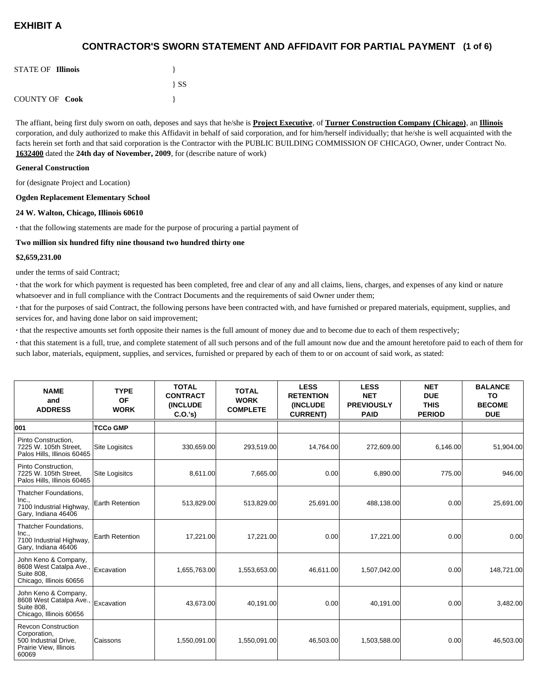## **(1 of 6) CONTRACTOR'S SWORN STATEMENT AND AFFIDAVIT FOR PARTIAL PAYMENT**

| <b>STATE OF Illinois</b> |          |
|--------------------------|----------|
|                          | $\{SS\}$ |
| <b>COUNTY OF Cook</b>    |          |

The affiant, being first duly sworn on oath, deposes and says that he/she is **Project Executive**, of **Turner Construction Company (Chicago)**, an **Illinois** corporation, and duly authorized to make this Affidavit in behalf of said corporation, and for him/herself individually; that he/she is well acquainted with the facts herein set forth and that said corporation is the Contractor with the PUBLIC BUILDING COMMISSION OF CHICAGO, Owner, under Contract No. **1632400** dated the **24th day of November, 2009**, for (describe nature of work)

#### **General Construction**

for (designate Project and Location)

#### **Ogden Replacement Elementary School**

#### **24 W. Walton, Chicago, Illinois 60610**

**·** that the following statements are made for the purpose of procuring a partial payment of

#### **Two million six hundred fifty nine thousand two hundred thirty one**

#### **\$2,659,231.00**

under the terms of said Contract;

**·** that the work for which payment is requested has been completed, free and clear of any and all claims, liens, charges, and expenses of any kind or nature whatsoever and in full compliance with the Contract Documents and the requirements of said Owner under them;

**·** that for the purposes of said Contract, the following persons have been contracted with, and have furnished or prepared materials, equipment, supplies, and services for, and having done labor on said improvement;

**·** that the respective amounts set forth opposite their names is the full amount of money due and to become due to each of them respectively;

**·** that this statement is a full, true, and complete statement of all such persons and of the full amount now due and the amount heretofore paid to each of them for such labor, materials, equipment, supplies, and services, furnished or prepared by each of them to or on account of said work, as stated:

| <b>NAME</b><br>and<br><b>ADDRESS</b>                                                                   | <b>TYPE</b><br><b>OF</b><br><b>WORK</b> | <b>TOTAL</b><br><b>CONTRACT</b><br><b>(INCLUDE)</b><br>C.0.'s) | <b>TOTAL</b><br><b>WORK</b><br><b>COMPLETE</b> | <b>LESS</b><br><b>RETENTION</b><br><b>(INCLUDE</b><br><b>CURRENT)</b> | <b>LESS</b><br><b>NET</b><br><b>PREVIOUSLY</b><br><b>PAID</b> | <b>NET</b><br><b>DUE</b><br><b>THIS</b><br><b>PERIOD</b> | <b>BALANCE</b><br>TO<br><b>BECOME</b><br><b>DUE</b> |
|--------------------------------------------------------------------------------------------------------|-----------------------------------------|----------------------------------------------------------------|------------------------------------------------|-----------------------------------------------------------------------|---------------------------------------------------------------|----------------------------------------------------------|-----------------------------------------------------|
| 001                                                                                                    | <b>TCCo GMP</b>                         |                                                                |                                                |                                                                       |                                                               |                                                          |                                                     |
| Pinto Construction,<br>7225 W. 105th Street,<br>Palos Hills, Illinois 60465                            | <b>Site Logisitcs</b>                   | 330,659.00                                                     | 293,519.00                                     | 14,764.00                                                             | 272,609.00                                                    | 6,146.00                                                 | 51,904.00                                           |
| Pinto Construction,<br>7225 W. 105th Street,<br>Palos Hills, Illinois 60465                            | <b>Site Logisitcs</b>                   | 8,611.00                                                       | 7,665.00                                       | 0.00                                                                  | 6,890.00                                                      | 775.00                                                   | 946.00                                              |
| Thatcher Foundations,<br>Inc.,<br>7100 Industrial Highway,<br>Gary, Indiana 46406                      | <b>Earth Retention</b>                  | 513,829.00                                                     | 513,829.00                                     | 25,691.00                                                             | 488,138.00                                                    | 0.00                                                     | 25,691.00                                           |
| Thatcher Foundations,<br>Inc.,<br>7100 Industrial Highway,<br>Gary, Indiana 46406                      | <b>Earth Retention</b>                  | 17,221.00                                                      | 17,221.00                                      | 0.00                                                                  | 17,221.00                                                     | 0.00                                                     | 0.00                                                |
| John Keno & Company,<br>8608 West Catalpa Ave.,<br><b>Suite 808.</b><br>Chicago, Illinois 60656        | Excavation                              | 1,655,763.00                                                   | 1,553,653.00                                   | 46.611.00                                                             | 1,507,042.00                                                  | 0.00                                                     | 148,721.00                                          |
| John Keno & Company,<br>8608 West Catalpa Ave.,<br><b>Suite 808.</b><br>Chicago, Illinois 60656        | Excavation                              | 43.673.00                                                      | 40,191.00                                      | 0.00                                                                  | 40.191.00                                                     | 0.00                                                     | 3,482.00                                            |
| <b>Revcon Construction</b><br>Corporation,<br>500 Industrial Drive,<br>Prairie View, Illinois<br>60069 | <b>Caissons</b>                         | 1,550,091.00                                                   | 1,550,091.00                                   | 46,503.00                                                             | 1,503,588.00                                                  | 0.00                                                     | 46,503.00                                           |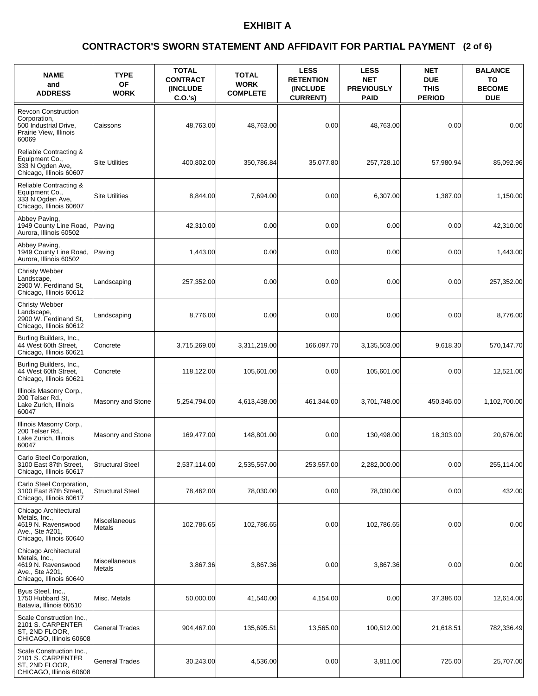### **(2 of 6) CONTRACTOR'S SWORN STATEMENT AND AFFIDAVIT FOR PARTIAL PAYMENT**

| <b>NAME</b><br>and<br><b>ADDRESS</b>                                                                       | <b>TYPE</b><br><b>OF</b><br><b>WORK</b> | <b>TOTAL</b><br><b>CONTRACT</b><br><b>(INCLUDE)</b><br>C.O.'s) | <b>TOTAL</b><br><b>WORK</b><br><b>COMPLETE</b> | <b>LESS</b><br><b>RETENTION</b><br><b>INCLUDE</b><br><b>CURRENT)</b> | <b>LESS</b><br><b>NET</b><br><b>PREVIOUSLY</b><br><b>PAID</b> | <b>NET</b><br><b>DUE</b><br><b>THIS</b><br><b>PERIOD</b> | <b>BALANCE</b><br>TO<br><b>BECOME</b><br><b>DUE</b> |
|------------------------------------------------------------------------------------------------------------|-----------------------------------------|----------------------------------------------------------------|------------------------------------------------|----------------------------------------------------------------------|---------------------------------------------------------------|----------------------------------------------------------|-----------------------------------------------------|
| <b>Revcon Construction</b><br>Corporation,<br>500 Industrial Drive,<br>Prairie View, Illinois<br>60069     | Caissons                                | 48,763.00                                                      | 48,763.00                                      | 0.00                                                                 | 48,763.00                                                     | 0.00                                                     | 0.00                                                |
| Reliable Contracting &<br>Equipment Co.,<br>333 N Ogden Ave,<br>Chicago, Illinois 60607                    | <b>Site Utilities</b>                   | 400,802.00                                                     | 350,786.84                                     | 35,077.80                                                            | 257,728.10                                                    | 57,980.94                                                | 85,092.96                                           |
| Reliable Contracting &<br>Equipment Co.,<br>333 N Ogden Ave,<br>Chicago, Illinois 60607                    | <b>Site Utilities</b>                   | 8,844.00                                                       | 7,694.00                                       | 0.00                                                                 | 6,307.00                                                      | 1,387.00                                                 | 1,150.00                                            |
| Abbey Paving,<br>1949 County Line Road,<br>Aurora, Illinois 60502                                          | Paving                                  | 42,310.00                                                      | 0.00                                           | 0.00                                                                 | 0.00                                                          | 0.00                                                     | 42,310.00                                           |
| Abbey Paving,<br>1949 County Line Road,<br>Aurora, Illinois 60502                                          | Paving                                  | 1,443.00                                                       | 0.00                                           | 0.00                                                                 | 0.00                                                          | 0.00                                                     | 1,443.00                                            |
| <b>Christy Webber</b><br>Landscape,<br>2900 W. Ferdinand St.<br>Chicago, Illinois 60612                    | Landscaping                             | 257,352.00                                                     | 0.00                                           | 0.00                                                                 | 0.00                                                          | 0.00                                                     | 257,352.00                                          |
| <b>Christy Webber</b><br>Landscape,<br>2900 W. Ferdinand St,<br>Chicago, Illinois 60612                    | Landscaping                             | 8,776.00                                                       | 0.00                                           | 0.00                                                                 | 0.00                                                          | 0.00                                                     | 8,776.00                                            |
| Burling Builders, Inc.,<br>44 West 60th Street,<br>Chicago, Illinois 60621                                 | Concrete                                | 3,715,269.00                                                   | 3,311,219.00                                   | 166,097.70                                                           | 3,135,503.00                                                  | 9,618.30                                                 | 570,147.70                                          |
| Burling Builders, Inc.,<br>44 West 60th Street,<br>Chicago, Illinois 60621                                 | Concrete                                | 118,122.00                                                     | 105,601.00                                     | 0.00                                                                 | 105,601.00                                                    | 0.00                                                     | 12,521.00                                           |
| Illinois Masonry Corp.,<br>200 Telser Rd.,<br>Lake Zurich, Illinois<br>60047                               | Masonry and Stone                       | 5,254,794.00                                                   | 4,613,438.00                                   | 461,344.00                                                           | 3,701,748.00                                                  | 450,346.00                                               | 1,102,700.00                                        |
| Illinois Masonry Corp.,<br>200 Telser Rd.,<br>Lake Zurich, Illinois<br>60047                               | Masonry and Stone                       | 169,477.00                                                     | 148,801.00                                     | 0.00                                                                 | 130,498.00                                                    | 18,303.00                                                | 20.676.00                                           |
| Carlo Steel Corporation,<br>3100 East 87th Street,<br>Chicago, Illinois 60617                              | <b>Structural Steel</b>                 | 2,537,114.00                                                   | 2,535,557.00                                   | 253,557.00                                                           | 2,282,000.00                                                  | 0.00                                                     | 255,114.00                                          |
| Carlo Steel Corporation,<br>3100 East 87th Street,<br>Chicago, Illinois 60617                              | <b>Structural Steel</b>                 | 78,462.00                                                      | 78,030.00                                      | 0.00                                                                 | 78,030.00                                                     | 0.00                                                     | 432.00                                              |
| Chicago Architectural<br>Metals, Inc.,<br>4619 N. Ravenswood<br>Ave., Ste #201,<br>Chicago, Illinois 60640 | Miscellaneous<br>Metals                 | 102,786.65                                                     | 102,786.65                                     | 0.00                                                                 | 102,786.65                                                    | 0.00                                                     | 0.00                                                |
| Chicago Architectural<br>Metals, Inc.,<br>4619 N. Ravenswood<br>Ave., Ste #201,<br>Chicago, Illinois 60640 | Miscellaneous<br>Metals                 | 3,867.36                                                       | 3,867.36                                       | 0.00                                                                 | 3,867.36                                                      | 0.00                                                     | 0.00                                                |
| Byus Steel, Inc.,<br>1750 Hubbard St,<br>Batavia, Illinois 60510                                           | Misc. Metals                            | 50,000.00                                                      | 41,540.00                                      | 4,154.00                                                             | 0.00                                                          | 37,386.00                                                | 12,614.00                                           |
| Scale Construction Inc.,<br>2101 S. CARPENTER<br>ST, 2ND FLOOR,<br>CHICAGO, Illinois 60608                 | <b>General Trades</b>                   | 904,467.00                                                     | 135,695.51                                     | 13,565.00                                                            | 100,512.00                                                    | 21,618.51                                                | 782,336.49                                          |
| Scale Construction Inc.,<br>2101 S. CARPENTER<br>ST, 2ND FLOOR,<br>CHICAGO, Illinois 60608                 | <b>General Trades</b>                   | 30,243.00                                                      | 4,536.00                                       | 0.00                                                                 | 3,811.00                                                      | 725.00                                                   | 25,707.00                                           |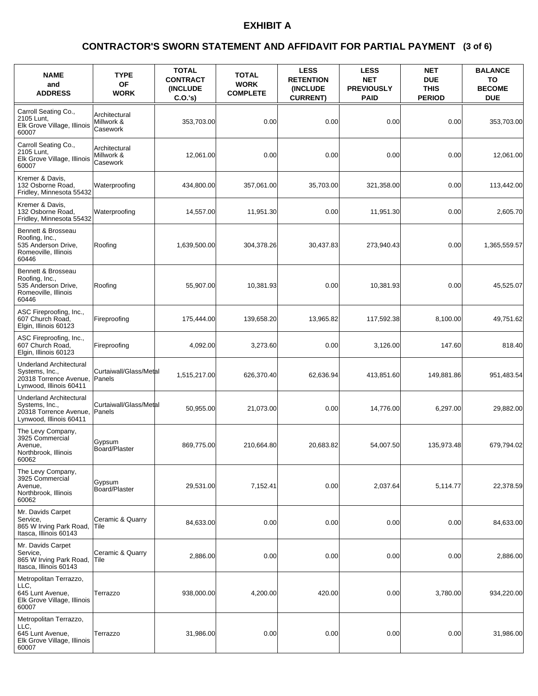### **(3 of 6) CONTRACTOR'S SWORN STATEMENT AND AFFIDAVIT FOR PARTIAL PAYMENT**

| <b>NAME</b><br>and<br><b>ADDRESS</b>                                                                  | <b>TYPE</b><br>OF<br><b>WORK</b>        | <b>TOTAL</b><br><b>CONTRACT</b><br><b>(INCLUDE)</b><br>$C.O.'s$ ) | <b>TOTAL</b><br><b>WORK</b><br><b>COMPLETE</b> | <b>LESS</b><br><b>RETENTION</b><br><b>(INCLUDE</b><br><b>CURRENT)</b> | <b>LESS</b><br><b>NET</b><br><b>PREVIOUSLY</b><br><b>PAID</b> | <b>NET</b><br><b>DUE</b><br><b>THIS</b><br><b>PERIOD</b> | <b>BALANCE</b><br>TO<br><b>BECOME</b><br><b>DUE</b> |
|-------------------------------------------------------------------------------------------------------|-----------------------------------------|-------------------------------------------------------------------|------------------------------------------------|-----------------------------------------------------------------------|---------------------------------------------------------------|----------------------------------------------------------|-----------------------------------------------------|
| Carroll Seating Co.,<br>2105 Lunt,<br>Elk Grove Village, Illinois<br>60007                            | Architectural<br>Millwork &<br>Casework | 353,703.00                                                        | 0.00                                           | 0.00                                                                  | 0.00                                                          | 0.00                                                     | 353,703.00                                          |
| Carroll Seating Co.,<br>2105 Lunt,<br>Elk Grove Village, Illinois<br>60007                            | Architectural<br>Millwork &<br>Casework | 12,061.00                                                         | 0.00                                           | 0.00                                                                  | 0.00                                                          | 0.00                                                     | 12,061.00                                           |
| Kremer & Davis.<br>132 Osborne Road.<br>Fridley, Minnesota 55432                                      | Waterproofing                           | 434,800.00                                                        | 357,061.00                                     | 35,703.00                                                             | 321,358.00                                                    | 0.00                                                     | 113,442.00                                          |
| Kremer & Davis,<br>132 Osborne Road,<br>Fridley, Minnesota 55432                                      | Waterproofing                           | 14,557.00                                                         | 11,951.30                                      | 0.00                                                                  | 11,951.30                                                     | 0.00                                                     | 2,605.70                                            |
| Bennett & Brosseau<br>Roofing, Inc.,<br>535 Anderson Drive,<br>Romeoville, Illinois<br>60446          | Roofing                                 | 1,639,500.00                                                      | 304,378.26                                     | 30,437.83                                                             | 273,940.43                                                    | 0.00                                                     | 1,365,559.57                                        |
| Bennett & Brosseau<br>Roofing, Inc.,<br>535 Anderson Drive,<br>Romeoville, Illinois<br>60446          | Roofing                                 | 55,907.00                                                         | 10,381.93                                      | 0.00                                                                  | 10,381.93                                                     | 0.00                                                     | 45,525.07                                           |
| ASC Fireproofing, Inc.,<br>607 Church Road,<br>Elgin, Illinois 60123                                  | Fireproofing                            | 175,444.00                                                        | 139,658.20                                     | 13,965.82                                                             | 117,592.38                                                    | 8,100.00                                                 | 49,751.62                                           |
| ASC Fireproofing, Inc.,<br>607 Church Road,<br>Elgin, Illinois 60123                                  | Fireproofing                            | 4,092.00                                                          | 3,273.60                                       | 0.00                                                                  | 3,126.00                                                      | 147.60                                                   | 818.40                                              |
| <b>Underland Architectural</b><br>Systems, Inc.,<br>20318 Torrence Avenue,<br>Lynwood, Illinois 60411 | Curtaiwall/Glass/Metal<br>Panels        | 1,515,217.00                                                      | 626,370.40                                     | 62,636.94                                                             | 413,851.60                                                    | 149,881.86                                               | 951,483.54                                          |
| <b>Underland Architectural</b><br>Systems, Inc.,<br>20318 Torrence Avenue,<br>Lynwood, Illinois 60411 | Curtaiwall/Glass/Metal<br>Panels        | 50.955.00                                                         | 21,073.00                                      | 0.00                                                                  | 14,776.00                                                     | 6,297.00                                                 | 29,882.00                                           |
| The Levy Company,<br>3925 Commercial<br>Avenue.<br>Northbrook, Illinois<br>60062                      | Gypsum<br>Board/Plaster                 | 869,775.00                                                        | 210,664.80                                     | 20,683.82                                                             | 54,007.50                                                     | 135,973.48                                               | 679,794.02                                          |
| The Levy Company,<br>3925 Commercial<br>Avenue,<br>Northbrook, Illinois<br>60062                      | Gypsum<br>Board/Plaster                 | 29,531.00                                                         | 7,152.41                                       | 0.00                                                                  | 2,037.64                                                      | 5,114.77                                                 | 22,378.59                                           |
| Mr. Davids Carpet<br>Service,<br>865 W Irving Park Road,<br>Itasca, Illinois 60143                    | Ceramic & Quarry<br> Tile               | 84,633.00                                                         | 0.00                                           | 0.00                                                                  | 0.00                                                          | 0.00                                                     | 84,633.00                                           |
| Mr. Davids Carpet<br>Service,<br>865 W Irving Park Road,<br>Itasca, Illinois 60143                    | Ceramic & Quarry<br> Tile               | 2,886.00                                                          | 0.00                                           | 0.00                                                                  | 0.00                                                          | 0.00                                                     | 2,886.00                                            |
| Metropolitan Terrazzo,<br>LLC,<br>645 Lunt Avenue,<br>Elk Grove Village, Illinois<br>60007            | Terrazzo                                | 938,000.00                                                        | 4,200.00                                       | 420.00                                                                | 0.00                                                          | 3,780.00                                                 | 934,220.00                                          |
| Metropolitan Terrazzo,<br>LLC,<br>645 Lunt Avenue,<br>Elk Grove Village, Illinois<br>60007            | Terrazzo                                | 31,986.00                                                         | 0.00                                           | 0.00                                                                  | 0.00                                                          | 0.00                                                     | 31,986.00                                           |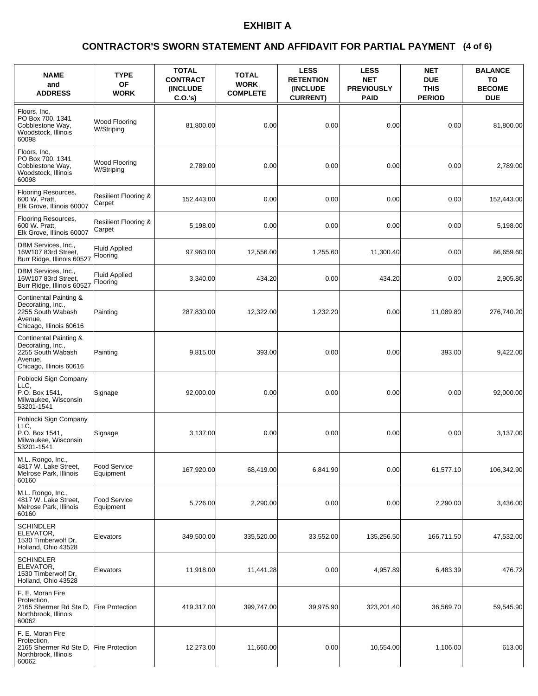### **(4 of 6) CONTRACTOR'S SWORN STATEMENT AND AFFIDAVIT FOR PARTIAL PAYMENT**

| <b>NAME</b><br>and<br><b>ADDRESS</b>                                                                   | <b>TYPE</b><br><b>OF</b><br><b>WORK</b>   | <b>TOTAL</b><br><b>CONTRACT</b><br><b>(INCLUDE)</b><br>$C.O.'s$ ) | <b>TOTAL</b><br><b>WORK</b><br><b>COMPLETE</b> | <b>LESS</b><br><b>RETENTION</b><br>(INCLUDE<br><b>CURRENT)</b> | <b>LESS</b><br><b>NET</b><br><b>PREVIOUSLY</b><br><b>PAID</b> | <b>NET</b><br><b>DUE</b><br><b>THIS</b><br><b>PERIOD</b> | <b>BALANCE</b><br>TO<br><b>BECOME</b><br><b>DUE</b> |
|--------------------------------------------------------------------------------------------------------|-------------------------------------------|-------------------------------------------------------------------|------------------------------------------------|----------------------------------------------------------------|---------------------------------------------------------------|----------------------------------------------------------|-----------------------------------------------------|
| Floors, Inc.<br>PO Box 700, 1341<br>Cobblestone Way,<br>Woodstock, Illinois<br>60098                   | Wood Flooring<br>W/Striping               | 81,800.00                                                         | 0.00                                           | 0.00                                                           | 0.00                                                          | 0.00                                                     | 81,800.00                                           |
| Floors, Inc.<br>PO Box 700, 1341<br>Cobblestone Way,<br>Woodstock, Illinois<br>60098                   | Wood Flooring<br>W/Striping               | 2,789.00                                                          | 0.00                                           | 0.00                                                           | 0.00                                                          | 0.00                                                     | 2,789.00                                            |
| Flooring Resources,<br>600 W. Pratt,<br>Elk Grove, Illinois 60007                                      | <b>Resilient Flooring &amp;</b><br>Carpet | 152,443.00                                                        | 0.00                                           | 0.00                                                           | 0.00                                                          | 0.00                                                     | 152,443.00                                          |
| Flooring Resources,<br>600 W. Pratt,<br>Elk Grove, Illinois 60007                                      | <b>Resilient Flooring &amp;</b><br>Carpet | 5,198.00                                                          | 0.00                                           | 0.00                                                           | 0.00                                                          | 0.00                                                     | 5,198.00                                            |
| DBM Services, Inc.,<br>16W107 83rd Street,<br>Burr Ridge, Illinois 60527                               | <b>Fluid Applied</b><br>Flooring          | 97,960.00                                                         | 12,556.00                                      | 1,255.60                                                       | 11,300.40                                                     | 0.00                                                     | 86,659.60                                           |
| DBM Services, Inc.,<br>16W107 83rd Street,<br>Burr Ridge, Illinois 60527                               | <b>Fluid Applied</b><br>Flooring          | 3,340.00                                                          | 434.20                                         | 0.00                                                           | 434.20                                                        | 0.00                                                     | 2,905.80                                            |
| Continental Painting &<br>Decorating, Inc.,<br>2255 South Wabash<br>Avenue,<br>Chicago, Illinois 60616 | Painting                                  | 287,830.00                                                        | 12,322.00                                      | 1.232.20                                                       | 0.00                                                          | 11.089.80                                                | 276,740.20                                          |
| Continental Painting &<br>Decorating, Inc.,<br>2255 South Wabash<br>Avenue,<br>Chicago, Illinois 60616 | Painting                                  | 9,815.00                                                          | 393.00                                         | 0.00                                                           | 0.00                                                          | 393.00                                                   | 9,422.00                                            |
| Poblocki Sign Company<br>LLC.<br>P.O. Box 1541,<br>Milwaukee, Wisconsin<br>53201-1541                  | Signage                                   | 92,000.00                                                         | 0.00                                           | 0.00                                                           | 0.00                                                          | 0.00                                                     | 92,000.00                                           |
| Poblocki Sign Company<br>LLC.<br>P.O. Box 1541.<br>Milwaukee, Wisconsin<br>53201-1541                  | Signage                                   | 3,137.00                                                          | 0.00                                           | 0.00                                                           | 0.00                                                          | 0.00                                                     | 3,137.00                                            |
| M.L. Rongo, Inc.,<br>4817 W. Lake Street,<br>Melrose Park, Illinois<br>60160                           | Food Service<br>Equipment                 | 167.920.00                                                        | 68.419.00                                      | 6.841.90                                                       | 0.00                                                          | 61,577.10                                                | 106,342.90                                          |
| M.L. Rongo, Inc.,<br>4817 W. Lake Street,<br>Melrose Park, Illinois<br>60160                           | Food Service<br>Equipment                 | 5,726.00                                                          | 2,290.00                                       | 0.00                                                           | 0.00                                                          | 2,290.00                                                 | 3,436.00                                            |
| SCHINDLER<br>ELEVATOR,<br>1530 Timberwolf Dr,<br>Holland, Ohio 43528                                   | Elevators                                 | 349,500.00                                                        | 335,520.00                                     | 33,552.00                                                      | 135,256.50                                                    | 166,711.50                                               | 47,532.00                                           |
| <b>SCHINDLER</b><br>ELEVATOR,<br>1530 Timberwolf Dr,<br>Holland, Ohio 43528                            | Elevators                                 | 11,918.00                                                         | 11,441.28                                      | 0.00                                                           | 4,957.89                                                      | 6,483.39                                                 | 476.72                                              |
| F. E. Moran Fire<br>Protection,<br>2165 Shermer Rd Ste D,<br>Northbrook, Illinois<br>60062             | <b>Fire Protection</b>                    | 419,317.00                                                        | 399,747.00                                     | 39,975.90                                                      | 323,201.40                                                    | 36,569.70                                                | 59,545.90                                           |
| F. E. Moran Fire<br>Protection,<br>2165 Shermer Rd Ste D,<br>Northbrook, Illinois<br>60062             | <b>Fire Protection</b>                    | 12,273.00                                                         | 11,660.00                                      | 0.00                                                           | 10,554.00                                                     | 1,106.00                                                 | 613.00                                              |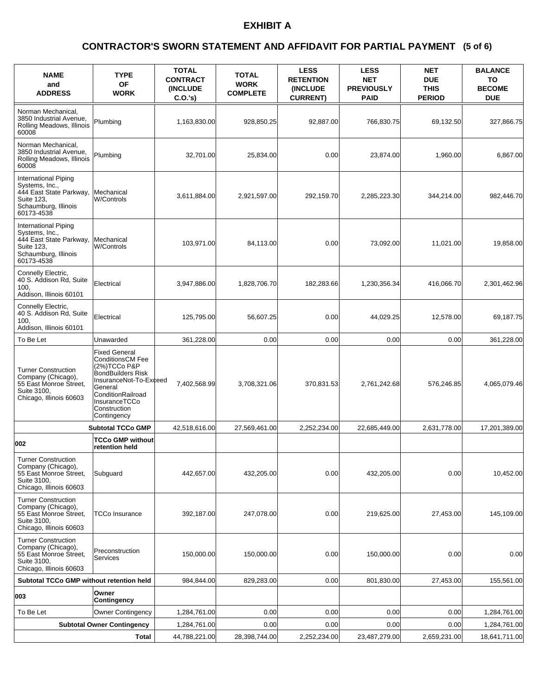### **(5 of 6) CONTRACTOR'S SWORN STATEMENT AND AFFIDAVIT FOR PARTIAL PAYMENT**

| <b>NAME</b><br>and<br><b>ADDRESS</b>                                                                                  | <b>TYPE</b><br><b>OF</b><br><b>WORK</b>                                                                                                                                                                | <b>TOTAL</b><br><b>CONTRACT</b><br><b>(INCLUDE)</b><br>$C.O.'s$ ) | <b>TOTAL</b><br><b>WORK</b><br><b>COMPLETE</b> | <b>LESS</b><br><b>RETENTION</b><br><b>(INCLUDE)</b><br><b>CURRENT)</b> | <b>LESS</b><br><b>NET</b><br><b>PREVIOUSLY</b><br><b>PAID</b> | <b>NET</b><br><b>DUE</b><br><b>THIS</b><br><b>PERIOD</b> | <b>BALANCE</b><br>TO<br><b>BECOME</b><br><b>DUE</b> |
|-----------------------------------------------------------------------------------------------------------------------|--------------------------------------------------------------------------------------------------------------------------------------------------------------------------------------------------------|-------------------------------------------------------------------|------------------------------------------------|------------------------------------------------------------------------|---------------------------------------------------------------|----------------------------------------------------------|-----------------------------------------------------|
| Norman Mechanical.<br>3850 Industrial Avenue,<br>Rolling Meadows, Illinois<br>60008                                   | Plumbing                                                                                                                                                                                               | 1,163,830.00                                                      | 928,850.25                                     | 92,887.00                                                              | 766,830.75                                                    | 69,132.50                                                | 327,866.75                                          |
| Norman Mechanical,<br>3850 Industrial Avenue.<br>Rolling Meadows, Illinois<br>60008                                   | Plumbing                                                                                                                                                                                               | 32,701.00                                                         | 25,834.00                                      | 0.00                                                                   | 23,874.00                                                     | 1,960.00                                                 | 6,867.00                                            |
| International Piping<br>Systems, Inc.,<br>444 East State Parkway,<br>Suite 123,<br>Schaumburg, Illinois<br>60173-4538 | Mechanical<br><b>W/Controls</b>                                                                                                                                                                        | 3,611,884.00                                                      | 2,921,597.00                                   | 292,159.70                                                             | 2,285,223.30                                                  | 344,214.00                                               | 982,446.70                                          |
| International Piping<br>Systems, Inc.,<br>444 East State Parkway,<br>Suite 123,<br>Schaumburg, Illinois<br>60173-4538 | Mechanical<br>W/Controls                                                                                                                                                                               | 103,971.00                                                        | 84,113.00                                      | 0.00                                                                   | 73.092.00                                                     | 11,021.00                                                | 19,858.00                                           |
| Connelly Electric,<br>40 S. Addison Rd, Suite<br>100.<br>Addison, Illinois 60101                                      | Electrical                                                                                                                                                                                             | 3,947,886.00                                                      | 1,828,706.70                                   | 182,283.66                                                             | 1,230,356.34                                                  | 416,066.70                                               | 2,301,462.96                                        |
| Connelly Electric,<br>40 S. Addison Rd, Suite<br>100.<br>Addison, Illinois 60101                                      | Electrical                                                                                                                                                                                             | 125,795.00                                                        | 56,607.25                                      | 0.00                                                                   | 44,029.25                                                     | 12,578.00                                                | 69,187.75                                           |
| To Be Let                                                                                                             | Unawarded                                                                                                                                                                                              | 361,228.00                                                        | 0.00                                           | 0.00                                                                   | 0.00                                                          | 0.00                                                     | 361,228.00                                          |
| <b>Turner Construction</b><br>Company (Chicago),<br>55 East Monroe Street,<br>Suite 3100,<br>Chicago, Illinois 60603  | <b>Fixed General</b><br><b>ConditionsCM Fee</b><br>(2%) TCCo P&P<br><b>BondBuilders Risk</b><br>InsuranceNot-To-Exceed<br>General<br>ConditionRailroad<br>InsuranceTCCo<br>Construction<br>Contingency | 7,402,568.99                                                      | 3,708,321.06                                   | 370,831.53                                                             | 2,761,242.68                                                  | 576,246.85                                               | 4,065,079.46                                        |
|                                                                                                                       | <b>Subtotal TCCo GMP</b>                                                                                                                                                                               | 42.518.616.00                                                     | 27,569,461.00                                  | 2,252,234.00                                                           | 22,685,449.00                                                 | 2,631,778.00                                             | 17,201,389.00                                       |
| 002                                                                                                                   | <b>TCCo GMP without</b><br>retention held                                                                                                                                                              |                                                                   |                                                |                                                                        |                                                               |                                                          |                                                     |
| <b>Turner Construction</b><br>Company (Chicago),<br>55 East Monroe Street,<br>Suite 3100,<br>Chicago, Illinois 60603  | Subguard                                                                                                                                                                                               | 442,657.00                                                        | 432,205.00                                     | 0.00                                                                   | 432,205.00                                                    | 0.00                                                     | 10,452.00                                           |
| <b>Turner Construction</b><br>Company (Chicago),<br>55 East Monroe Street,<br>Suite 3100,<br>Chicago, Illinois 60603  | TCCo Insurance                                                                                                                                                                                         | 392,187.00                                                        | 247,078.00                                     | 0.00                                                                   | 219,625.00                                                    | 27,453.00                                                | 145,109.00                                          |
| <b>Turner Construction</b><br>Company (Chicago),<br>55 East Monroe Street,<br>Suite 3100,<br>Chicago, Illinois 60603  | Preconstruction<br>Services                                                                                                                                                                            | 150,000.00                                                        | 150,000.00                                     | 0.00                                                                   | 150,000.00                                                    | 0.00                                                     | 0.00                                                |
| Subtotal TCCo GMP without retention held                                                                              |                                                                                                                                                                                                        | 984,844.00                                                        | 829,283.00                                     | 0.00                                                                   | 801,830.00                                                    | 27,453.00                                                | 155,561.00                                          |
| 003                                                                                                                   | Owner<br>Contingency                                                                                                                                                                                   |                                                                   |                                                |                                                                        |                                                               |                                                          |                                                     |
| To Be Let                                                                                                             | <b>Owner Contingency</b>                                                                                                                                                                               | 1,284,761.00                                                      | 0.00                                           | 0.00                                                                   | 0.00                                                          | 0.00                                                     | 1,284,761.00                                        |
|                                                                                                                       | <b>Subtotal Owner Contingency</b>                                                                                                                                                                      | 1,284,761.00                                                      | 0.00                                           | 0.00                                                                   | 0.00                                                          | 0.00                                                     | 1,284,761.00                                        |
|                                                                                                                       | <b>Total</b>                                                                                                                                                                                           | 44,788,221.00                                                     | 28,398,744.00                                  | 2,252,234.00                                                           | 23,487,279.00                                                 | 2,659,231.00                                             | 18,641,711.00                                       |